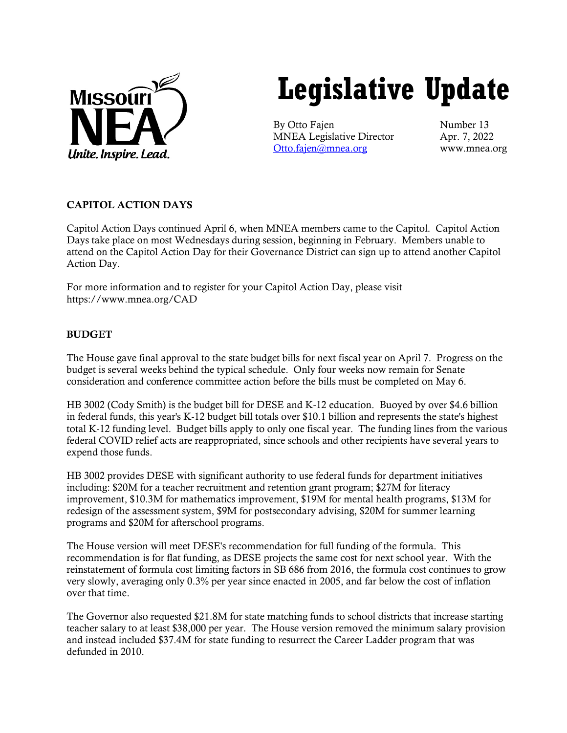

# **Legislative Update**

By Otto Fajen Number 13 MNEA Legislative Director Apr. 7, 2022 [Otto.fajen@mnea.org](mailto:Otto.fajen@mnea.org) www.mnea.org

## CAPITOL ACTION DAYS

Capitol Action Days continued April 6, when MNEA members came to the Capitol. Capitol Action Days take place on most Wednesdays during session, beginning in February. Members unable to attend on the Capitol Action Day for their Governance District can sign up to attend another Capitol Action Day.

For more information and to register for your Capitol Action Day, please visit https://www.mnea.org/CAD

## BUDGET

The House gave final approval to the state budget bills for next fiscal year on April 7. Progress on the budget is several weeks behind the typical schedule. Only four weeks now remain for Senate consideration and conference committee action before the bills must be completed on May 6.

HB 3002 (Cody Smith) is the budget bill for DESE and K-12 education. Buoyed by over \$4.6 billion in federal funds, this year's K-12 budget bill totals over \$10.1 billion and represents the state's highest total K-12 funding level. Budget bills apply to only one fiscal year. The funding lines from the various federal COVID relief acts are reappropriated, since schools and other recipients have several years to expend those funds.

HB 3002 provides DESE with significant authority to use federal funds for department initiatives including: \$20M for a teacher recruitment and retention grant program; \$27M for literacy improvement, \$10.3M for mathematics improvement, \$19M for mental health programs, \$13M for redesign of the assessment system, \$9M for postsecondary advising, \$20M for summer learning programs and \$20M for afterschool programs.

The House version will meet DESE's recommendation for full funding of the formula. This recommendation is for flat funding, as DESE projects the same cost for next school year. With the reinstatement of formula cost limiting factors in SB 686 from 2016, the formula cost continues to grow very slowly, averaging only 0.3% per year since enacted in 2005, and far below the cost of inflation over that time.

The Governor also requested \$21.8M for state matching funds to school districts that increase starting teacher salary to at least \$38,000 per year. The House version removed the minimum salary provision and instead included \$37.4M for state funding to resurrect the Career Ladder program that was defunded in 2010.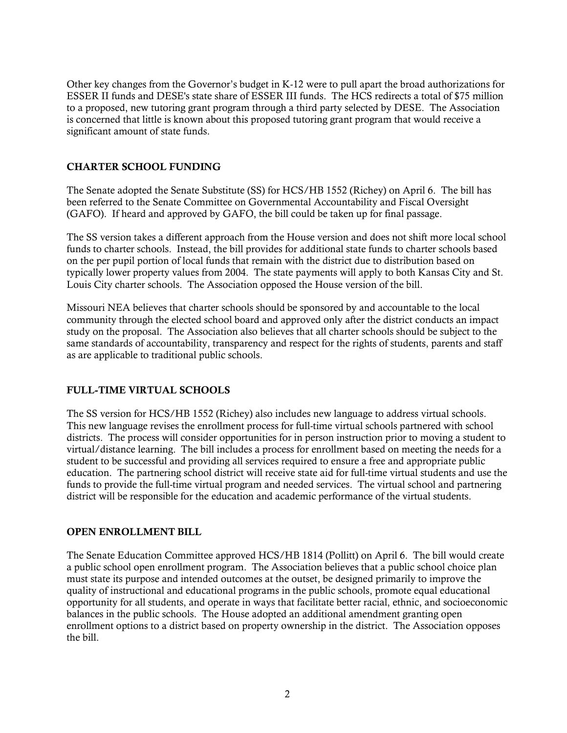Other key changes from the Governor's budget in K-12 were to pull apart the broad authorizations for ESSER II funds and DESE's state share of ESSER III funds. The HCS redirects a total of \$75 million to a proposed, new tutoring grant program through a third party selected by DESE. The Association is concerned that little is known about this proposed tutoring grant program that would receive a significant amount of state funds.

## CHARTER SCHOOL FUNDING

The Senate adopted the Senate Substitute (SS) for HCS/HB 1552 (Richey) on April 6. The bill has been referred to the Senate Committee on Governmental Accountability and Fiscal Oversight (GAFO). If heard and approved by GAFO, the bill could be taken up for final passage.

The SS version takes a different approach from the House version and does not shift more local school funds to charter schools. Instead, the bill provides for additional state funds to charter schools based on the per pupil portion of local funds that remain with the district due to distribution based on typically lower property values from 2004. The state payments will apply to both Kansas City and St. Louis City charter schools. The Association opposed the House version of the bill.

Missouri NEA believes that charter schools should be sponsored by and accountable to the local community through the elected school board and approved only after the district conducts an impact study on the proposal. The Association also believes that all charter schools should be subject to the same standards of accountability, transparency and respect for the rights of students, parents and staff as are applicable to traditional public schools.

## FULL-TIME VIRTUAL SCHOOLS

The SS version for HCS/HB 1552 (Richey) also includes new language to address virtual schools. This new language revises the enrollment process for full-time virtual schools partnered with school districts. The process will consider opportunities for in person instruction prior to moving a student to virtual/distance learning. The bill includes a process for enrollment based on meeting the needs for a student to be successful and providing all services required to ensure a free and appropriate public education. The partnering school district will receive state aid for full-time virtual students and use the funds to provide the full-time virtual program and needed services. The virtual school and partnering district will be responsible for the education and academic performance of the virtual students.

## OPEN ENROLLMENT BILL

The Senate Education Committee approved HCS/HB 1814 (Pollitt) on April 6. The bill would create a public school open enrollment program. The Association believes that a public school choice plan must state its purpose and intended outcomes at the outset, be designed primarily to improve the quality of instructional and educational programs in the public schools, promote equal educational opportunity for all students, and operate in ways that facilitate better racial, ethnic, and socioeconomic balances in the public schools. The House adopted an additional amendment granting open enrollment options to a district based on property ownership in the district. The Association opposes the bill.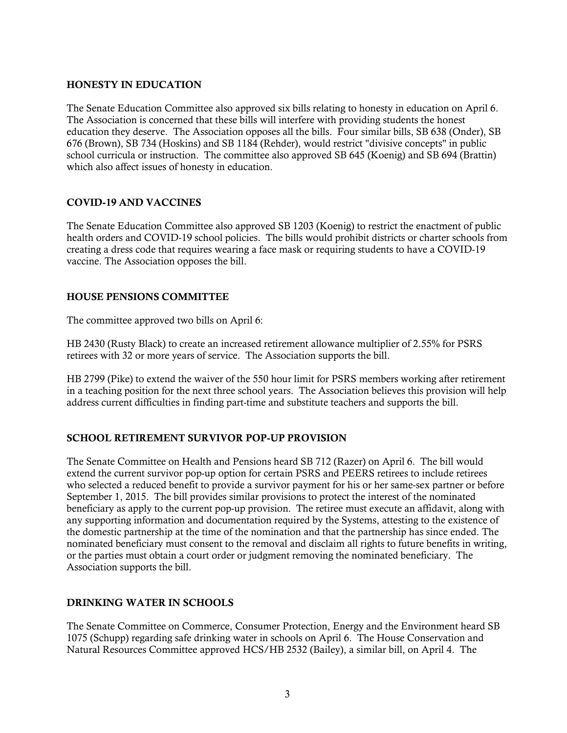#### HONESTY IN EDUCATION

The Senate Education Committee also approved six bills relating to honesty in education on April 6. The Association is concerned that these bills will interfere with providing students the honest education they deserve. The Association opposes all the bills. Four similar bills, SB 638 (Onder), SB 676 (Brown), SB 734 (Hoskins) and SB 1184 (Rehder), would restrict "divisive concepts" in public school curricula or instruction. The committee also approved SB 645 (Koenig) and SB 694 (Brattin) which also affect issues of honesty in education.

#### COVID-19 AND VACCINES

The Senate Education Committee also approved SB 1203 (Koenig) to restrict the enactment of public health orders and COVID-19 school policies. The bills would prohibit districts or charter schools from creating a dress code that requires wearing a face mask or requiring students to have a COVID-19 vaccine. The Association opposes the bill.

#### HOUSE PENSIONS COMMITTEE

The committee approved two bills on April 6:

HB 2430 (Rusty Black) to create an increased retirement allowance multiplier of 2.55% for PSRS retirees with 32 or more years of service. The Association supports the bill.

HB 2799 (Pike) to extend the waiver of the 550 hour limit for PSRS members working after retirement in a teaching position for the next three school years. The Association believes this provision will help address current difficulties in finding part-time and substitute teachers and supports the bill.

## SCHOOL RETIREMENT SURVIVOR POP-UP PROVISION

The Senate Committee on Health and Pensions heard SB 712 (Razer) on April 6. The bill would extend the current survivor pop-up option for certain PSRS and PEERS retirees to include retirees who selected a reduced benefit to provide a survivor payment for his or her same-sex partner or before September 1, 2015. The bill provides similar provisions to protect the interest of the nominated beneficiary as apply to the current pop-up provision. The retiree must execute an affidavit, along with any supporting information and documentation required by the Systems, attesting to the existence of the domestic partnership at the time of the nomination and that the partnership has since ended. The nominated beneficiary must consent to the removal and disclaim all rights to future benefits in writing, or the parties must obtain a court order or judgment removing the nominated beneficiary. The Association supports the bill.

## DRINKING WATER IN SCHOOLS

The Senate Committee on Commerce, Consumer Protection, Energy and the Environment heard SB 1075 (Schupp) regarding safe drinking water in schools on April 6. The House Conservation and Natural Resources Committee approved HCS/HB 2532 (Bailey), a similar bill, on April 4. The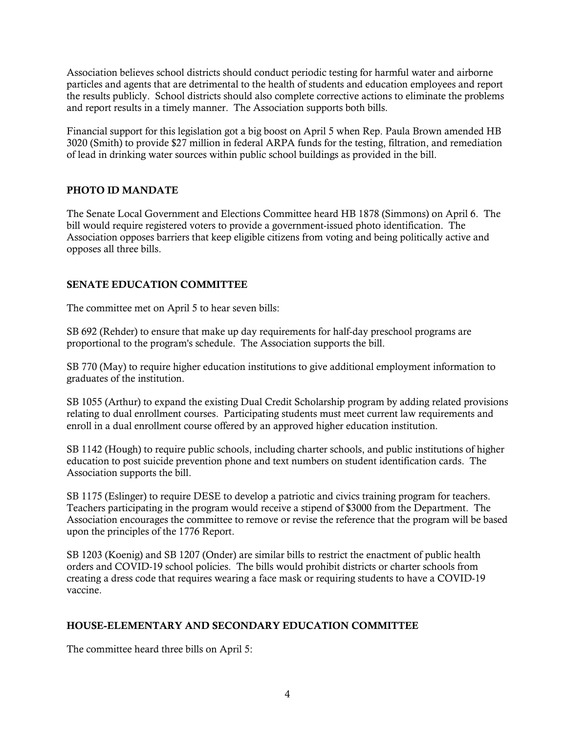Association believes school districts should conduct periodic testing for harmful water and airborne particles and agents that are detrimental to the health of students and education employees and report the results publicly. School districts should also complete corrective actions to eliminate the problems and report results in a timely manner. The Association supports both bills.

Financial support for this legislation got a big boost on April 5 when Rep. Paula Brown amended HB 3020 (Smith) to provide \$27 million in federal ARPA funds for the testing, filtration, and remediation of lead in drinking water sources within public school buildings as provided in the bill.

## PHOTO ID MANDATE

The Senate Local Government and Elections Committee heard HB 1878 (Simmons) on April 6. The bill would require registered voters to provide a government-issued photo identification. The Association opposes barriers that keep eligible citizens from voting and being politically active and opposes all three bills.

## SENATE EDUCATION COMMITTEE

The committee met on April 5 to hear seven bills:

SB 692 (Rehder) to ensure that make up day requirements for half-day preschool programs are proportional to the program's schedule. The Association supports the bill.

SB 770 (May) to require higher education institutions to give additional employment information to graduates of the institution.

SB 1055 (Arthur) to expand the existing Dual Credit Scholarship program by adding related provisions relating to dual enrollment courses. Participating students must meet current law requirements and enroll in a dual enrollment course offered by an approved higher education institution.

SB 1142 (Hough) to require public schools, including charter schools, and public institutions of higher education to post suicide prevention phone and text numbers on student identification cards. The Association supports the bill.

SB 1175 (Eslinger) to require DESE to develop a patriotic and civics training program for teachers. Teachers participating in the program would receive a stipend of \$3000 from the Department. The Association encourages the committee to remove or revise the reference that the program will be based upon the principles of the 1776 Report.

SB 1203 (Koenig) and SB 1207 (Onder) are similar bills to restrict the enactment of public health orders and COVID-19 school policies. The bills would prohibit districts or charter schools from creating a dress code that requires wearing a face mask or requiring students to have a COVID-19 vaccine.

## HOUSE-ELEMENTARY AND SECONDARY EDUCATION COMMITTEE

The committee heard three bills on April 5: